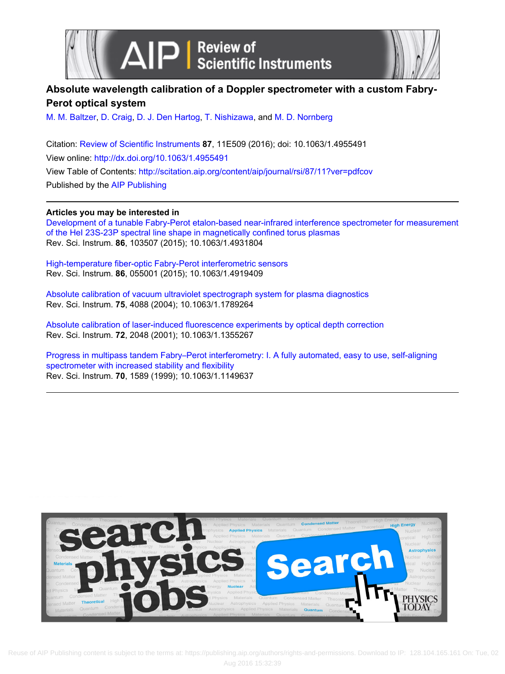



# **Absolute wavelength calibration of a Doppler spectrometer with a custom Fabry-Perot optical system**

[M. M. Baltzer](http://scitation.aip.org/search?value1=M.+M.+Baltzer&option1=author), [D. Craig](http://scitation.aip.org/search?value1=D.+Craig&option1=author), [D. J. Den Hartog](http://scitation.aip.org/search?value1=D.+J.+Den+Hartog&option1=author), [T. Nishizawa](http://scitation.aip.org/search?value1=T.+Nishizawa&option1=author), and [M. D. Nornberg](http://scitation.aip.org/search?value1=M.+D.+Nornberg&option1=author)

Citation: [Review of Scientific Instruments](http://scitation.aip.org/content/aip/journal/rsi?ver=pdfcov) **87**, 11E509 (2016); doi: 10.1063/1.4955491 View online: <http://dx.doi.org/10.1063/1.4955491> View Table of Contents:<http://scitation.aip.org/content/aip/journal/rsi/87/11?ver=pdfcov> Published by the [AIP Publishing](http://scitation.aip.org/content/aip?ver=pdfcov)

**Articles you may be interested in**

[Development of a tunable Fabry-Perot etalon-based near-infrared interference spectrometer for measurement](http://scitation.aip.org/content/aip/journal/rsi/86/10/10.1063/1.4931804?ver=pdfcov) [of the HeI 23S-23P spectral line shape in magnetically confined torus plasmas](http://scitation.aip.org/content/aip/journal/rsi/86/10/10.1063/1.4931804?ver=pdfcov) Rev. Sci. Instrum. **86**, 103507 (2015); 10.1063/1.4931804

[High-temperature fiber-optic Fabry-Perot interferometric sensors](http://scitation.aip.org/content/aip/journal/rsi/86/5/10.1063/1.4919409?ver=pdfcov) Rev. Sci. Instrum. **86**, 055001 (2015); 10.1063/1.4919409

[Absolute calibration of vacuum ultraviolet spectrograph system for plasma diagnostics](http://scitation.aip.org/content/aip/journal/rsi/75/10/10.1063/1.1789264?ver=pdfcov) Rev. Sci. Instrum. **75**, 4088 (2004); 10.1063/1.1789264

[Absolute calibration of laser-induced fluorescence experiments by optical depth correction](http://scitation.aip.org/content/aip/journal/rsi/72/4/10.1063/1.1355267?ver=pdfcov) Rev. Sci. Instrum. **72**, 2048 (2001); 10.1063/1.1355267

[Progress in multipass tandem Fabry–Perot interferometry: I. A fully automated, easy to use, self-aligning](http://scitation.aip.org/content/aip/journal/rsi/70/3/10.1063/1.1149637?ver=pdfcov) [spectrometer with increased stability and flexibility](http://scitation.aip.org/content/aip/journal/rsi/70/3/10.1063/1.1149637?ver=pdfcov) Rev. Sci. Instrum. **70**, 1589 (1999); 10.1063/1.1149637

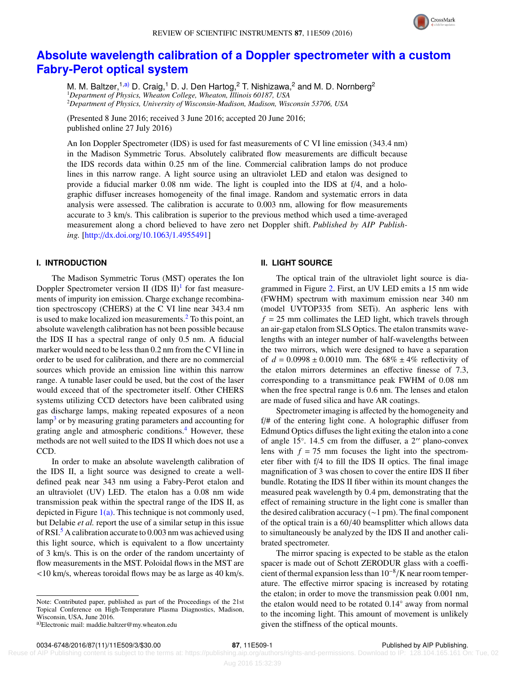

# **[Absolute wavelength calibration of a Doppler spectrometer with a custom](http://dx.doi.org/10.1063/1.4955491) [Fabry-Perot optical system](http://dx.doi.org/10.1063/1.4955491)**

M. M. Baltzer,<sup>1[,a\)](#page-1-0)</sup> D. Craig,<sup>1</sup> D. J. Den Hartog,<sup>2</sup> T. Nishizawa,<sup>2</sup> and M. D. Nornberg<sup>2</sup> <sup>1</sup>*Department of Physics, Wheaton College, Wheaton, Illinois 60187, USA* <sup>2</sup>*Department of Physics, University of Wisconsin-Madison, Madison, Wisconsin 53706, USA*

(Presented 8 June 2016; received 3 June 2016; accepted 20 June 2016; published online 27 July 2016)

An Ion Doppler Spectrometer (IDS) is used for fast measurements of C VI line emission (343.4 nm) in the Madison Symmetric Torus. Absolutely calibrated flow measurements are difficult because the IDS records data within 0.25 nm of the line. Commercial calibration lamps do not produce lines in this narrow range. A light source using an ultraviolet LED and etalon was designed to provide a fiducial marker 0.08 nm wide. The light is coupled into the IDS at f/4, and a holographic diffuser increases homogeneity of the final image. Random and systematic errors in data analysis were assessed. The calibration is accurate to 0.003 nm, allowing for flow measurements accurate to 3 km/s. This calibration is superior to the previous method which used a time-averaged measurement along a chord believed to have zero net Doppler shift. *Published by AIP Publishing.* [\[http:](http://dx.doi.org/10.1063/1.4955491)//[dx.doi.org](http://dx.doi.org/10.1063/1.4955491)/[10.1063](http://dx.doi.org/10.1063/1.4955491)/[1.4955491\]](http://dx.doi.org/10.1063/1.4955491)

### **I. INTRODUCTION**

The Madison Symmetric Torus (MST) operates the Ion Doppler Spectrometer version II (IDS  $II$ )<sup>[1](#page-3-0)</sup> for fast measurements of impurity ion emission. Charge exchange recombination spectroscopy (CHERS) at the C VI line near 343.4 nm is used to make localized ion measurements.<sup>[2](#page-3-1)</sup> To this point, an absolute wavelength calibration has not been possible because the IDS II has a spectral range of only 0.5 nm. A fiducial marker would need to be less than 0.2 nm from the C VI line in order to be used for calibration, and there are no commercial sources which provide an emission line within this narrow range. A tunable laser could be used, but the cost of the laser would exceed that of the spectrometer itself. Other CHERS systems utilizing CCD detectors have been calibrated using gas discharge lamps, making repeated exposures of a neon lamp<sup>[3](#page-3-2)</sup> or by measuring grating parameters and accounting for grating angle and atmospheric conditions.<sup>[4](#page-3-3)</sup> However, these methods are not well suited to the IDS II which does not use a CCD.

In order to make an absolute wavelength calibration of the IDS II, a light source was designed to create a welldefined peak near 343 nm using a Fabry-Perot etalon and an ultraviolet (UV) LED. The etalon has a 0.08 nm wide transmission peak within the spectral range of the IDS II, as depicted in Figure  $1(a)$ . This technique is not commonly used, but Delabie *et al.* report the use of a similar setup in this issue of RSI.<sup>[5](#page-3-4)</sup> A calibration accurate to 0.003 nm was achieved using this light source, which is equivalent to a flow uncertainty of 3 km/s. This is on the order of the random uncertainty of flow measurements in the MST. Poloidal flows in the MST are <10 km/s, whereas toroidal flows may be as large as 40 km/s.

#### **II. LIGHT SOURCE**

The optical train of the ultraviolet light source is diagrammed in Figure [2.](#page-2-1) First, an UV LED emits a 15 nm wide (FWHM) spectrum with maximum emission near 340 nm (model UVTOP335 from SETi). An aspheric lens with  $f = 25$  mm collimates the LED light, which travels through an air-gap etalon from SLS Optics. The etalon transmits wavelengths with an integer number of half-wavelengths between the two mirrors, which were designed to have a separation of  $d = 0.0998 \pm 0.0010$  mm. The  $68\% \pm 4\%$  reflectivity of the etalon mirrors determines an effective finesse of 7.3, corresponding to a transmittance peak FWHM of 0.08 nm when the free spectral range is 0.6 nm. The lenses and etalon are made of fused silica and have AR coatings.

Spectrometer imaging is affected by the homogeneity and f/# of the entering light cone. A holographic diffuser from Edmund Optics diffuses the light exiting the etalon into a cone of angle 15°. 14.5 cm from the diffuser, a 2" plano-convex<br>lens with  $f = 75$  mm focuses the light into the spectromlens with  $f = 75$  mm focuses the light into the spectrometer fiber with f/4 to fill the IDS II optics. The final image magnification of 3 was chosen to cover the entire IDS II fiber bundle. Rotating the IDS II fiber within its mount changes the measured peak wavelength by 0.4 pm, demonstrating that the effect of remaining structure in the light cone is smaller than the desired calibration accuracy (∼1 pm). The final component of the optical train is a 60/40 beamsplitter which allows data to simultaneously be analyzed by the IDS II and another calibrated spectrometer.

The mirror spacing is expected to be stable as the etalon spacer is made out of Schott ZERODUR glass with a coefficient of thermal expansion less than  $10^{-8}/K$  near room temperature. The effective mirror spacing is increased by rotating ature. The effective mirror spacing is increased by rotating the etalon; in order to move the transmission peak 0.001 nm, the etalon would need to be rotated 0.14◦ away from normal to the incoming light. This amount of movement is unlikely given the stiffness of the optical mounts.

Note: Contributed paper, published as part of the Proceedings of the 21st Topical Conference on High-Temperature Plasma Diagnostics, Madison, Wisconsin, USA, June 2016.

<span id="page-1-0"></span><sup>&</sup>lt;sup>a)</sup>Electronic mail: maddie.baltzer@my.wheaton.edu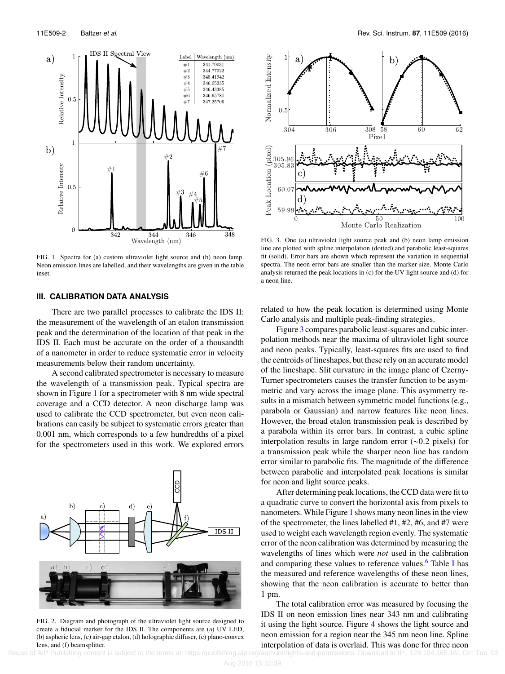<span id="page-2-0"></span>

FIG. 1. Spectra for (a) custom ultraviolet light source and (b) neon lamp. Neon emission lines are labelled, and their wavelengths are given in the table inset.

### **III. CALIBRATION DATA ANALYSIS**

There are two parallel processes to calibrate the IDS II: the measurement of the wavelength of an etalon transmission peak and the determination of the location of that peak in the IDS II. Each must be accurate on the order of a thousandth of a nanometer in order to reduce systematic error in velocity measurements below their random uncertainty.

A second calibrated spectrometer is necessary to measure the wavelength of a transmission peak. Typical spectra are shown in Figure [1](#page-2-0) for a spectrometer with 8 nm wide spectral coverage and a CCD detector. A neon discharge lamp was used to calibrate the CCD spectrometer, but even neon calibrations can easily be subject to systematic errors greater than 0.001 nm, which corresponds to a few hundredths of a pixel for the spectrometers used in this work. We explored errors

<span id="page-2-1"></span>

FIG. 2. Diagram and photograph of the ultraviolet light source designed to create a fiducial marker for the IDS II. The components are (a) UV LED, (b) aspheric lens, (c) air-gap etalon, (d) holographic diffuser, (e) plano-convex lens, and (f) beamsplitter.

<span id="page-2-2"></span>

FIG. 3. One (a) ultraviolet light source peak and (b) neon lamp emission line are plotted with spline interpolation (dotted) and parabolic least-squares fit (solid). Error bars are shown which represent the variation in sequential spectra. The neon error bars are smaller than the marker size. Monte Carlo analysis returned the peak locations in (c) for the UV light source and (d) for a neon line.

related to how the peak location is determined using Monte Carlo analysis and multiple peak-finding strategies.

Figure [3](#page-2-2) compares parabolic least-squares and cubic interpolation methods near the maxima of ultraviolet light source and neon peaks. Typically, least-squares fits are used to find the centroids of lineshapes, but these rely on an accurate model of the lineshape. Slit curvature in the image plane of Czerny-Turner spectrometers causes the transfer function to be asymmetric and vary across the image plane. This asymmetry results in a mismatch between symmetric model functions (e.g., parabola or Gaussian) and narrow features like neon lines. However, the broad etalon transmission peak is described by a parabola within its error bars. In contrast, a cubic spline interpolation results in large random error (∼0.2 pixels) for a transmission peak while the sharper neon line has random error similar to parabolic fits. The magnitude of the difference between parabolic and interpolated peak locations is similar for neon and light source peaks.

After determining peak locations, the CCD data were fit to a quadratic curve to convert the horizontal axis from pixels to nanometers. While Figure [1](#page-2-0) shows many neon lines in the view of the spectrometer, the lines labelled #1, #2, #6, and #7 were used to weight each wavelength region evenly. The systematic error of the neon calibration was determined by measuring the wavelengths of lines which were *not* used in the calibration and comparing these values to reference values.<sup>[6](#page-3-5)</sup> Table [I](#page-3-6) has the measured and reference wavelengths of these neon lines, showing that the neon calibration is accurate to better than 1 pm.

The total calibration error was measured by focusing the IDS II on neon emission lines near 343 nm and calibrating it using the light source. Figure [4](#page-3-7) shows the light source and neon emission for a region near the 345 nm neon line. Spline interpolation of data is overlaid. This was done for three neon